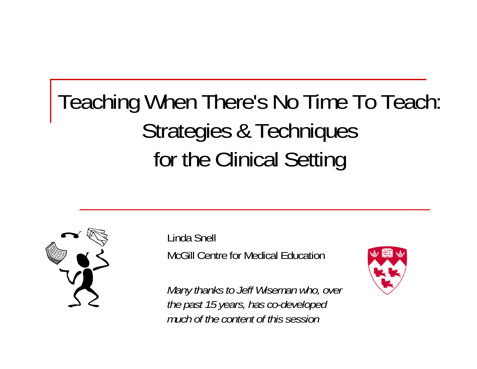# Teaching When There's No Time To Teach: Strategies & Techniques for the Clinical Setting



Linda Snell McGill Centre for Medical Education

*Many thanks to Jeff Wiseman who, over the past 15 years, has co-developed much of the content of this session*

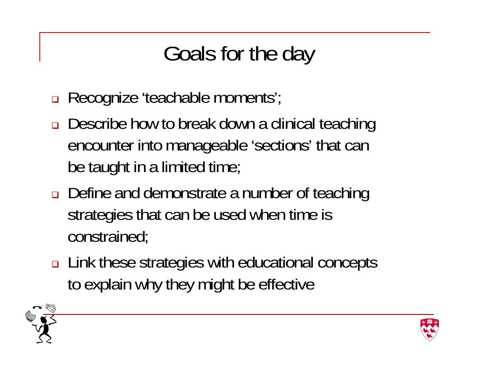# Goals for the day

- Recognize 'teachable moments';
- **□** Describe how to break down a clinical teaching encounter into manageable 'sections' that can be taught in a limited time;
- Define and demonstrate a number of teaching strategies that can be used when time is constrained;
- Link these strategies with educational concepts to explain why they might be effective



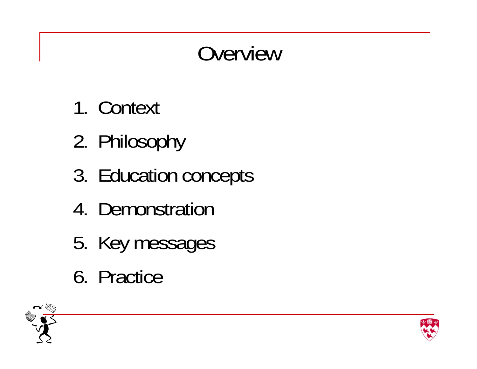# Overview

- 1. Context
- 2. Philosophy
- 3. Education concepts
- 4. Demonstration
- 5. Key messages
- 6. Practice



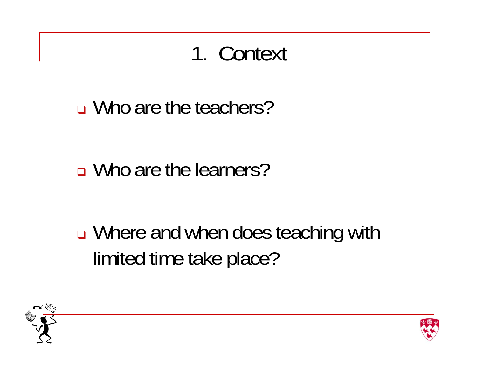### 1. Context

■ Who are the teachers?

■ Who are the learners?

 $\Box$ ■ Where and when does teaching with limited time take place?



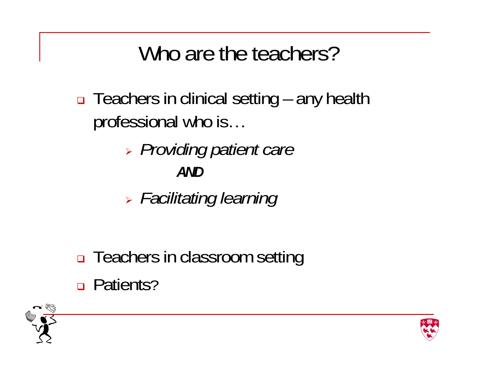#### Who are the teachers?

- □ Teachers in clinical setting any health professional who is…
	- *Providing patient care AND*
	- *Facilitating learning*
- □ Teachers in classroom setting □ Patients?



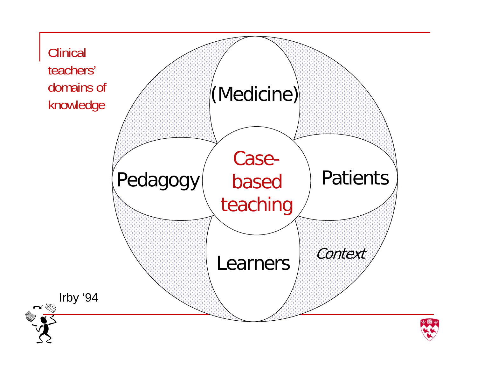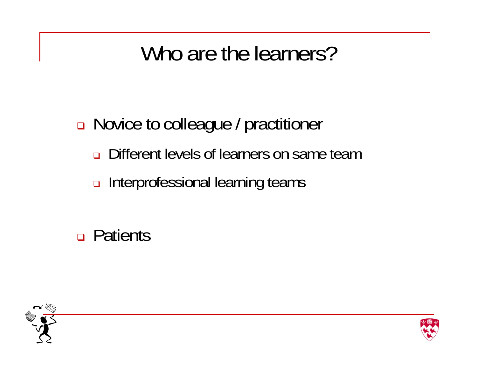#### Who are the learners?

□ Novice to colleague / practitioner

- $\Box$ Different levels of learners on same team
- Interprofessional learning teams

Patients



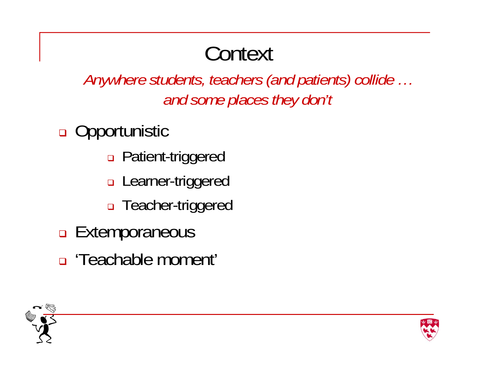## **Context**

*Anywhere students, teachers (and patients) collide … and some places they don't*

**□** Opportunistic

- □ Patient-triggered
- □ Learner-triggered
- □ Teacher-triggered
- **Extemporaneous**
- 'Teachable moment'



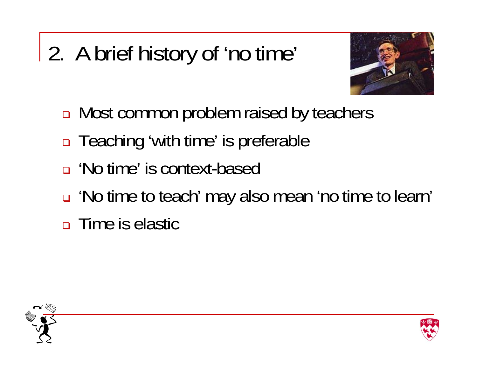# 2. A brief history of 'no time'



- Most common problem raised by teachers
- □ Teaching 'with time' is preferable
- 'No time' is context-based
- 'No time to teach' may also mean 'no time to learn'
- Time is elastic



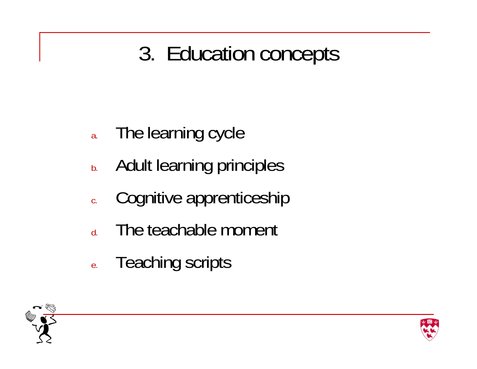#### 3. Education concepts

- a.The learning cycle
- b.Adult learning principles
- c.Cognitive apprenticeship
- d.The teachable moment
- e.Teaching scripts



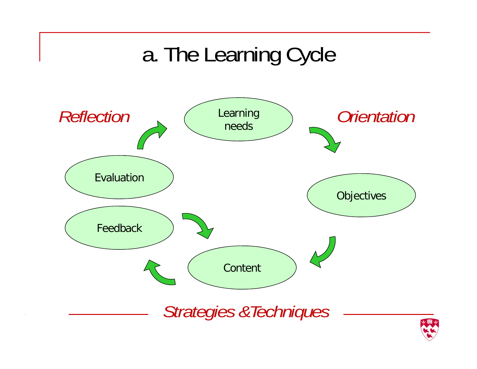## a. The Learning Cycle



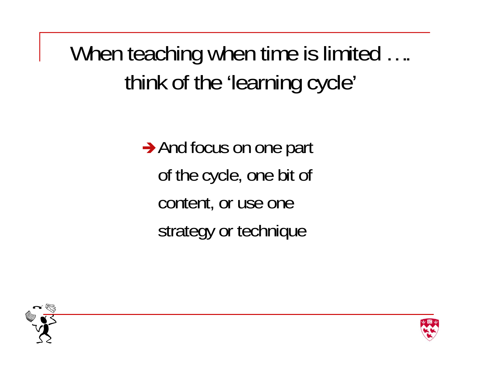When teaching when time is limited .... think of the 'learning cycle'

> And focus on one part of the cycle, one bit of content, or use one strategy or technique



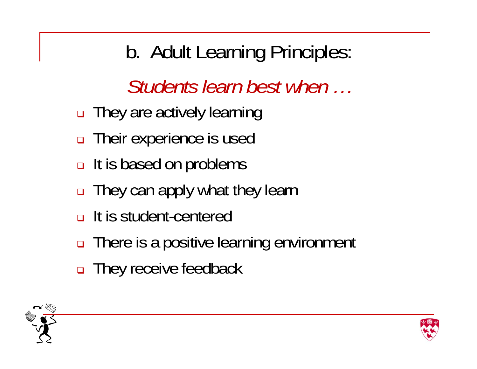b. Adult Learning Principles:

*Students learn best when …*

- They are actively learning
- □ Their experience is used
- **□ It is based on problems**
- **□** They can apply what they learn
- **□ It is student-centered**
- There is a positive learning environment
- $\Box$ They receive feedback



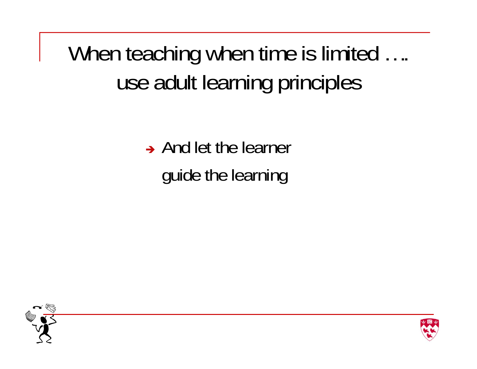When teaching when time is limited .... use adult learning principles

> $\rightarrow$  And let the learner guide the learning



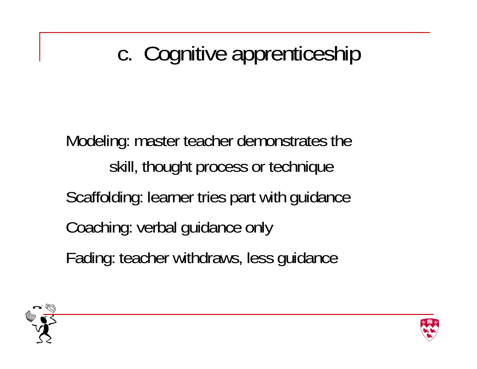# c. Cognitive apprenticeship

Modeling: master teacher demonstrates the skill, thought process or technique Scaffolding: learner tries part with guidance Coaching: verbal guidance only Fading: teacher withdraws, less guidance



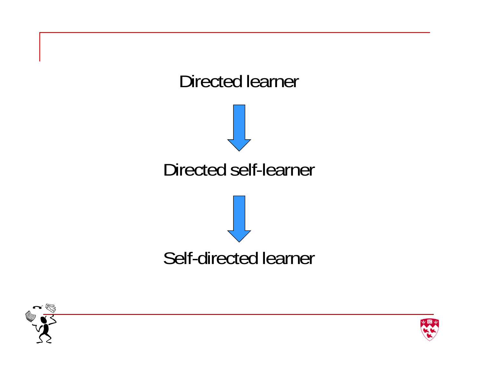



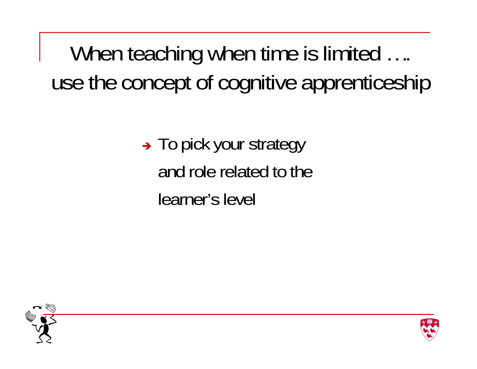When teaching when time is limited .... use the concept of cognitive apprenticeship

> → To pick your strategy and role related to the learner's level



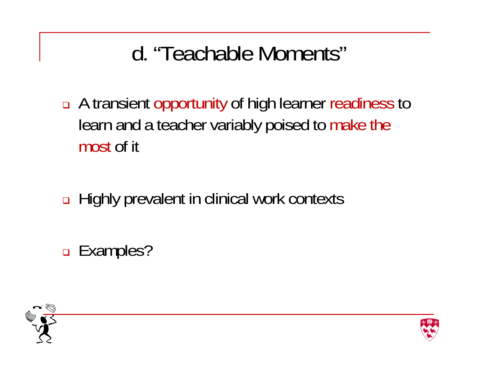### d. "Teachable Moments"

- A transient opportunity of high learner readiness to learn and a teacher variably poised to make the most of it
- **□ Highly prevalent in clinical work contexts**
- □ Examples?



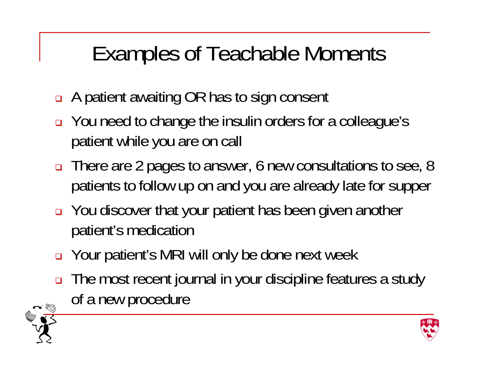## Examples of Teachable Moments

- $\Box$ A patient awaiting OR has to sign consent
- You need to change the insulin orders for a colleague's patient while you are on call
- □ There are 2 pages to answer, 6 new consultations to see, 8 patients to follow up on and you are already late for supper
- You discover that your patient has been given another patient's medication
- Your patient's MRI will only be done next week
- ❏ The most recent journal in your discipline features a study of a new procedure



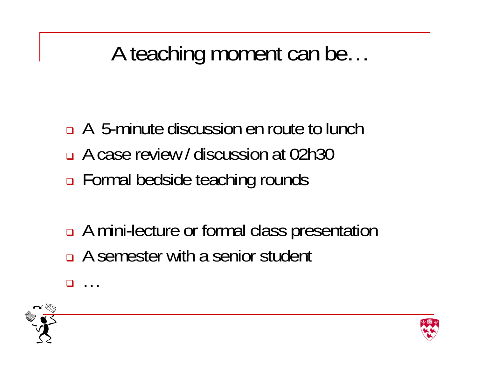### A teaching moment can be…

- A 5-minute discussion en route to lunch A case review / discussion at 02h30 □ Formal bedside teaching rounds
- **□** A mini-lecture or formal class presentation A semester with a senior student



 $\Box$ 

…

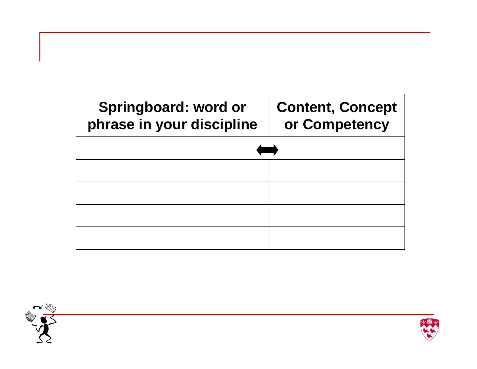| Springboard: word or<br>phrase in your discipline | <b>Content, Concept</b><br>or Competency |
|---------------------------------------------------|------------------------------------------|
|                                                   |                                          |
|                                                   |                                          |
|                                                   |                                          |
|                                                   |                                          |
|                                                   |                                          |



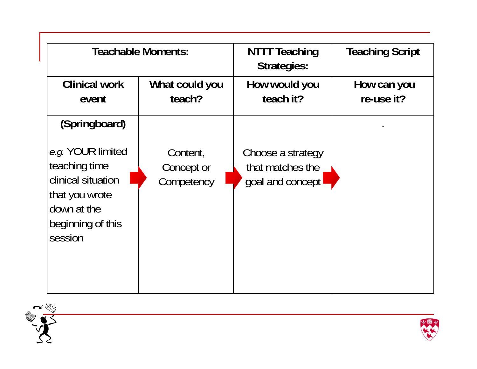|                                                                                                                                            | <b>Teachable Moments:</b>            | <b>NTTT Teaching</b><br><b>Strategies:</b>                | <b>Teaching Script</b>    |
|--------------------------------------------------------------------------------------------------------------------------------------------|--------------------------------------|-----------------------------------------------------------|---------------------------|
| <b>Clinical work</b><br>event                                                                                                              | What could you<br>teach?             | How would you<br>teach it?                                | How can you<br>re-use it? |
| (Springboard)<br>e.g. YOUR limited<br>teaching time<br>clinical situation<br>that you wrote<br>down at the<br>beginning of this<br>session | Content,<br>Concept or<br>Competency | Choose a strategy<br>that matches the<br>goal and concept |                           |



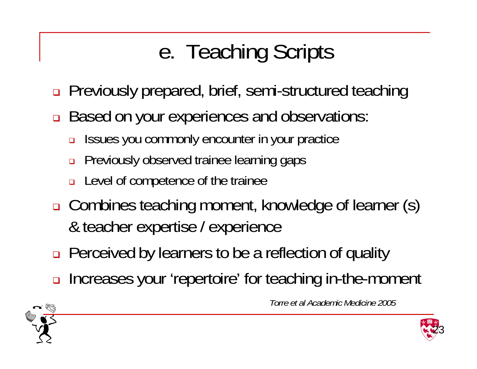# e. Teaching Scripts

- $\Box$ Previously prepared, brief, semi-structured teaching
- $\Box$  Based on your experiences and observations:
	- ❏ Issues you commonly encounter in your practice
	- $\Box$ Previously observed trainee learning gaps
	- ❏ Level of competence of the trainee
- Combines teaching moment, knowledge of learner (s) & teacher expertise / experience
- **□** Perceived by learners to be a reflection of quality
- $\Box$ Increases your 'repertoire' for teaching in-the-moment



*Torre et al Academic Medicine 2005*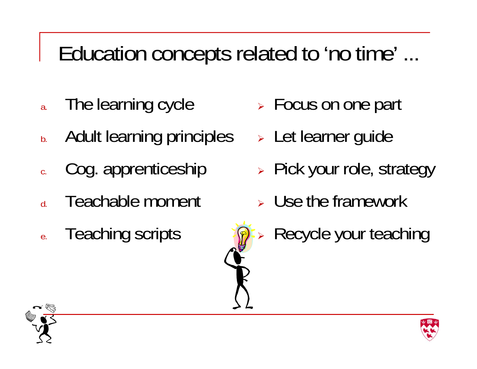### Education concepts related to 'no time' ...

- a.The learning cycle
- b.Adult learning principles
- c.Cog. apprenticeship
- d.Teachable moment
- e.Teaching scripts
- **EXEL S** Focus on one part
- Let learner guide
- > Pick your role, strategy
- **> Use the framework**
- $\blacktriangleright$ Recycle your teaching



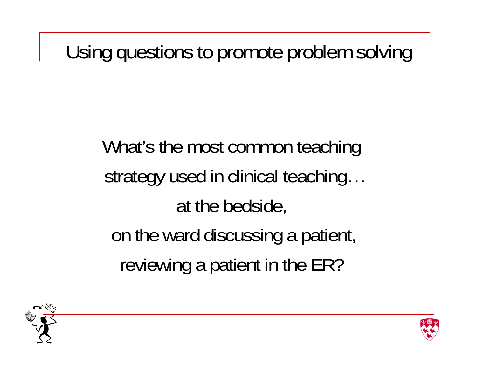Using questions to promote problem solving

What's the most common teaching strategy used in clinical teaching… at the bedside, on the ward discussing a patient, reviewing a patient in the ER?



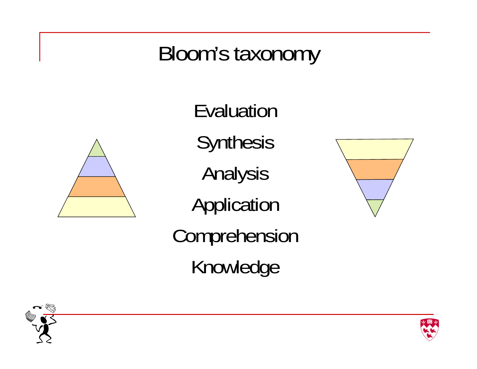#### Bloom's taxonomy



Evaluation **Synthesis** Analysis Application Comprehension Knowledge





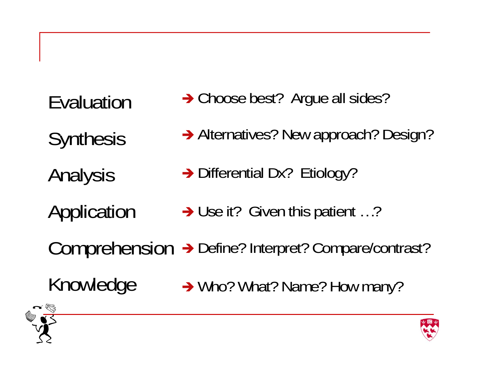Evaluation **Synthesis** Analysis Application Comprehension Knowledge → Choose best? Argue all sides? → Alternatives? New approach? Design? → Differential Dx? Etiology? → Use it? Given this patient ...? → Define? Interpret? Compare/contrast? → Who? What? Name? How many?